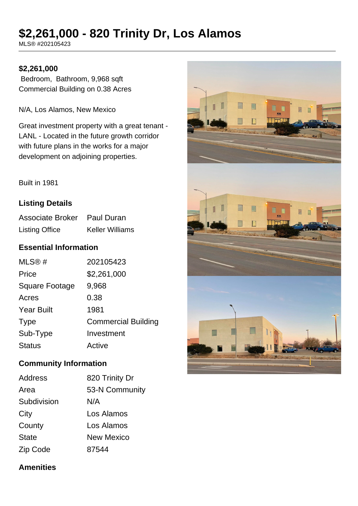# **\$2,261,000 - 820 Trinity Dr, Los Alamos**

MLS® #202105423

### **\$2,261,000**

 Bedroom, Bathroom, 9,968 sqft Commercial Building on 0.38 Acres

N/A, Los Alamos, New Mexico

Great investment property with a great tenant - LANL - Located in the future growth corridor with future plans in the works for a major development on adjoining properties.

Built in 1981

## **Listing Details**

Associate Broker Paul Duran Listing Office Keller Williams

# **Essential Information**

| MLS@#                 | 202105423                  |
|-----------------------|----------------------------|
| Price                 | \$2,261,000                |
| <b>Square Footage</b> | 9,968                      |
| Acres                 | 0.38                       |
| <b>Year Built</b>     | 1981                       |
| <b>Type</b>           | <b>Commercial Building</b> |
| Sub-Type              | Investment                 |
| <b>Status</b>         | Active                     |

#### **Community Information**

| <b>Address</b> | 820 Trinity Dr    |
|----------------|-------------------|
| Area           | 53-N Community    |
| Subdivision    | N/A               |
| City           | Los Alamos        |
| County         | Los Alamos        |
| <b>State</b>   | <b>New Mexico</b> |
| Zip Code       | 87544             |



#### **Amenities**